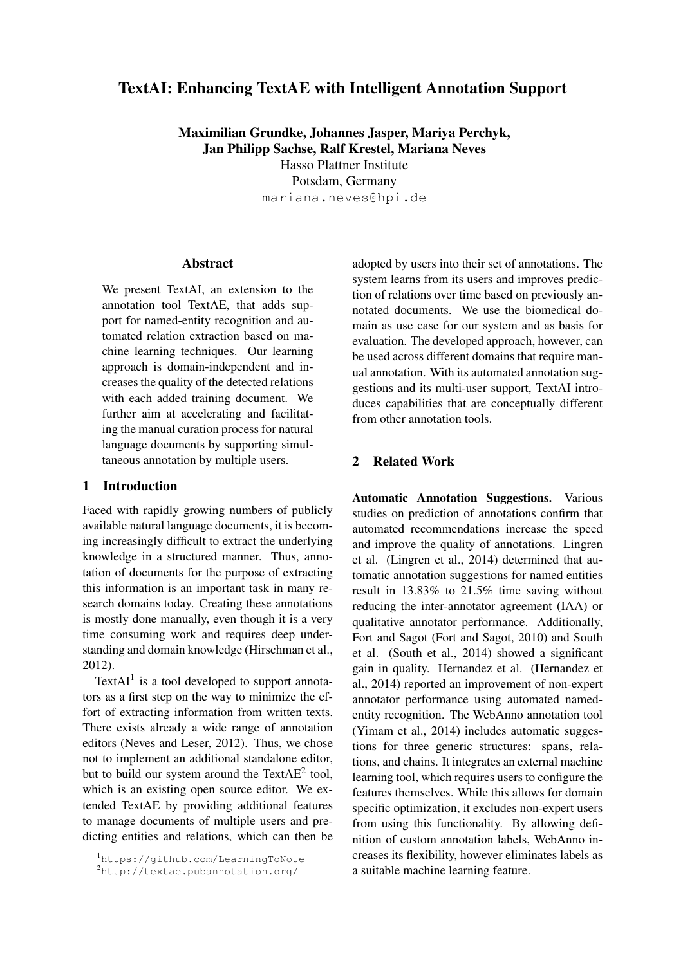# TextAI: Enhancing TextAE with Intelligent Annotation Support

Maximilian Grundke, Johannes Jasper, Mariya Perchyk, Jan Philipp Sachse, Ralf Krestel, Mariana Neves Hasso Plattner Institute Potsdam, Germany mariana.neves@hpi.de

### **Abstract**

We present TextAI, an extension to the annotation tool TextAE, that adds support for named-entity recognition and automated relation extraction based on machine learning techniques. Our learning approach is domain-independent and increases the quality of the detected relations with each added training document. We further aim at accelerating and facilitating the manual curation process for natural language documents by supporting simultaneous annotation by multiple users.

### 1 Introduction

Faced with rapidly growing numbers of publicly available natural language documents, it is becoming increasingly difficult to extract the underlying knowledge in a structured manner. Thus, annotation of documents for the purpose of extracting this information is an important task in many research domains today. Creating these annotations is mostly done manually, even though it is a very time consuming work and requires deep understanding and domain knowledge (Hirschman et al., 2012).

Text $AI<sup>1</sup>$  is a tool developed to support annotators as a first step on the way to minimize the effort of extracting information from written texts. There exists already a wide range of annotation editors (Neves and Leser, 2012). Thus, we chose not to implement an additional standalone editor, but to build our system around the Text $AE^2$  tool, which is an existing open source editor. We extended TextAE by providing additional features to manage documents of multiple users and predicting entities and relations, which can then be

adopted by users into their set of annotations. The system learns from its users and improves prediction of relations over time based on previously annotated documents. We use the biomedical domain as use case for our system and as basis for evaluation. The developed approach, however, can be used across different domains that require manual annotation. With its automated annotation suggestions and its multi-user support, TextAI introduces capabilities that are conceptually different from other annotation tools.

## 2 Related Work

Automatic Annotation Suggestions. Various studies on prediction of annotations confirm that automated recommendations increase the speed and improve the quality of annotations. Lingren et al. (Lingren et al., 2014) determined that automatic annotation suggestions for named entities result in 13.83% to 21.5% time saving without reducing the inter-annotator agreement (IAA) or qualitative annotator performance. Additionally, Fort and Sagot (Fort and Sagot, 2010) and South et al. (South et al., 2014) showed a significant gain in quality. Hernandez et al. (Hernandez et al., 2014) reported an improvement of non-expert annotator performance using automated namedentity recognition. The WebAnno annotation tool (Yimam et al., 2014) includes automatic suggestions for three generic structures: spans, relations, and chains. It integrates an external machine learning tool, which requires users to configure the features themselves. While this allows for domain specific optimization, it excludes non-expert users from using this functionality. By allowing definition of custom annotation labels, WebAnno increases its flexibility, however eliminates labels as a suitable machine learning feature.

<sup>1</sup>https://github.com/LearningToNote

<sup>2</sup>http://textae.pubannotation.org/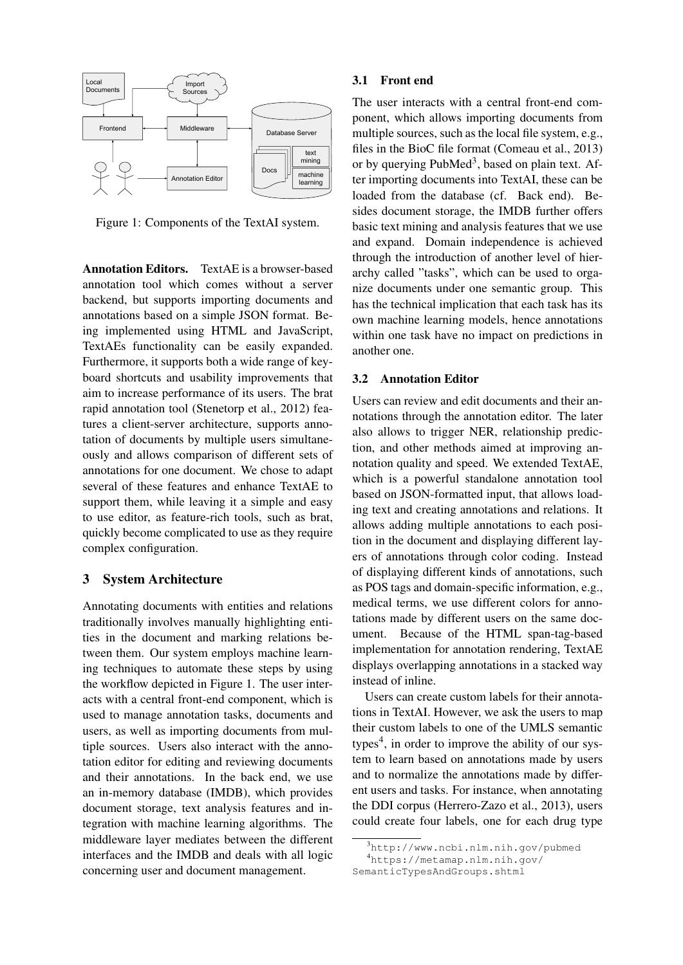

Figure 1: Components of the TextAI system.

Annotation Editors. TextAE is a browser-based annotation tool which comes without a server backend, but supports importing documents and annotations based on a simple JSON format. Being implemented using HTML and JavaScript, TextAEs functionality can be easily expanded. Furthermore, it supports both a wide range of keyboard shortcuts and usability improvements that aim to increase performance of its users. The brat rapid annotation tool (Stenetorp et al., 2012) features a client-server architecture, supports annotation of documents by multiple users simultaneously and allows comparison of different sets of annotations for one document. We chose to adapt several of these features and enhance TextAE to support them, while leaving it a simple and easy to use editor, as feature-rich tools, such as brat, quickly become complicated to use as they require complex configuration.

#### 3 System Architecture

Annotating documents with entities and relations traditionally involves manually highlighting entities in the document and marking relations between them. Our system employs machine learning techniques to automate these steps by using the workflow depicted in Figure 1. The user interacts with a central front-end component, which is used to manage annotation tasks, documents and users, as well as importing documents from multiple sources. Users also interact with the annotation editor for editing and reviewing documents and their annotations. In the back end, we use an in-memory database (IMDB), which provides document storage, text analysis features and integration with machine learning algorithms. The middleware layer mediates between the different interfaces and the IMDB and deals with all logic concerning user and document management.

#### 3.1 Front end

The user interacts with a central front-end component, which allows importing documents from multiple sources, such as the local file system, e.g., files in the BioC file format (Comeau et al., 2013) or by querying  $PubMed<sup>3</sup>$ , based on plain text. After importing documents into TextAI, these can be loaded from the database (cf. Back end). Besides document storage, the IMDB further offers basic text mining and analysis features that we use and expand. Domain independence is achieved through the introduction of another level of hierarchy called "tasks", which can be used to organize documents under one semantic group. This has the technical implication that each task has its own machine learning models, hence annotations within one task have no impact on predictions in another one.

#### 3.2 Annotation Editor

Users can review and edit documents and their annotations through the annotation editor. The later also allows to trigger NER, relationship prediction, and other methods aimed at improving annotation quality and speed. We extended TextAE, which is a powerful standalone annotation tool based on JSON-formatted input, that allows loading text and creating annotations and relations. It allows adding multiple annotations to each position in the document and displaying different layers of annotations through color coding. Instead of displaying different kinds of annotations, such as POS tags and domain-specific information, e.g., medical terms, we use different colors for annotations made by different users on the same document. Because of the HTML span-tag-based implementation for annotation rendering, TextAE displays overlapping annotations in a stacked way instead of inline.

Users can create custom labels for their annotations in TextAI. However, we ask the users to map their custom labels to one of the UMLS semantic types<sup>4</sup>, in order to improve the ability of our system to learn based on annotations made by users and to normalize the annotations made by different users and tasks. For instance, when annotating the DDI corpus (Herrero-Zazo et al., 2013), users could create four labels, one for each drug type

<sup>3</sup>http://www.ncbi.nlm.nih.gov/pubmed <sup>4</sup>https://metamap.nlm.nih.gov/

SemanticTypesAndGroups.shtml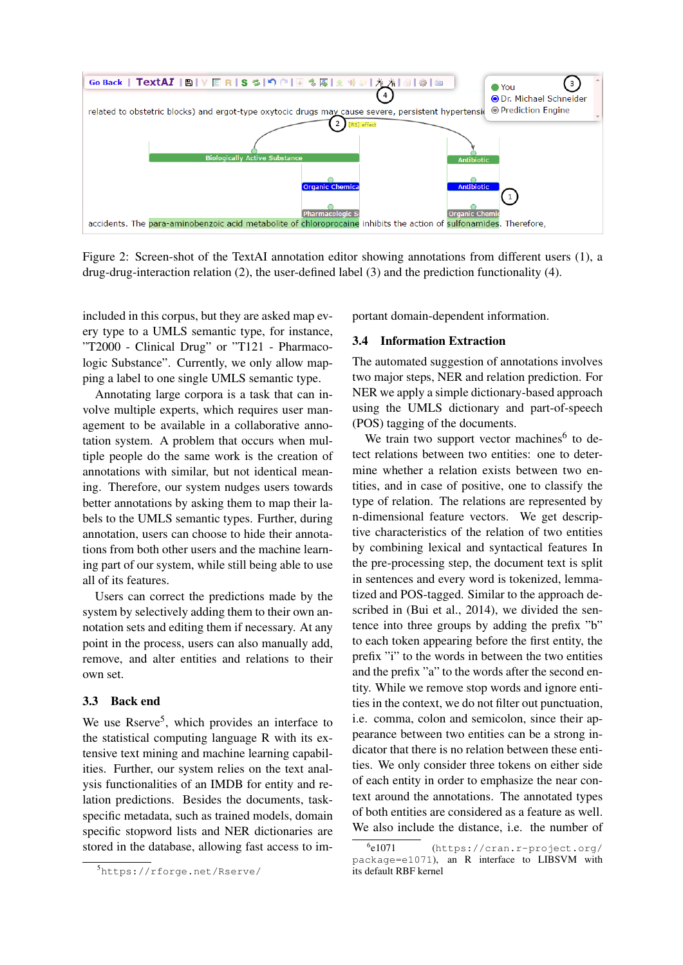

Figure 2: Screen-shot of the TextAI annotation editor showing annotations from different users (1), a drug-drug-interaction relation (2), the user-defined label (3) and the prediction functionality (4).

included in this corpus, but they are asked map every type to a UMLS semantic type, for instance, "T2000 - Clinical Drug" or "T121 - Pharmacologic Substance". Currently, we only allow mapping a label to one single UMLS semantic type.

Annotating large corpora is a task that can involve multiple experts, which requires user management to be available in a collaborative annotation system. A problem that occurs when multiple people do the same work is the creation of annotations with similar, but not identical meaning. Therefore, our system nudges users towards better annotations by asking them to map their labels to the UMLS semantic types. Further, during annotation, users can choose to hide their annotations from both other users and the machine learning part of our system, while still being able to use all of its features.

Users can correct the predictions made by the system by selectively adding them to their own annotation sets and editing them if necessary. At any point in the process, users can also manually add, remove, and alter entities and relations to their own set.

#### 3.3 Back end

We use Rserve<sup>5</sup>, which provides an interface to the statistical computing language R with its extensive text mining and machine learning capabilities. Further, our system relies on the text analysis functionalities of an IMDB for entity and relation predictions. Besides the documents, taskspecific metadata, such as trained models, domain specific stopword lists and NER dictionaries are stored in the database, allowing fast access to important domain-dependent information.

#### 3.4 Information Extraction

The automated suggestion of annotations involves two major steps, NER and relation prediction. For NER we apply a simple dictionary-based approach using the UMLS dictionary and part-of-speech (POS) tagging of the documents.

We train two support vector machines<sup>6</sup> to detect relations between two entities: one to determine whether a relation exists between two entities, and in case of positive, one to classify the type of relation. The relations are represented by n-dimensional feature vectors. We get descriptive characteristics of the relation of two entities by combining lexical and syntactical features In the pre-processing step, the document text is split in sentences and every word is tokenized, lemmatized and POS-tagged. Similar to the approach described in (Bui et al., 2014), we divided the sentence into three groups by adding the prefix "b" to each token appearing before the first entity, the prefix "i" to the words in between the two entities and the prefix "a" to the words after the second entity. While we remove stop words and ignore entities in the context, we do not filter out punctuation, i.e. comma, colon and semicolon, since their appearance between two entities can be a strong indicator that there is no relation between these entities. We only consider three tokens on either side of each entity in order to emphasize the near context around the annotations. The annotated types of both entities are considered as a feature as well. We also include the distance, i.e. the number of

<sup>5</sup>https://rforge.net/Rserve/

 $6e1071$ (https://cran.r-project.org/ package=e1071), an R interface to LIBSVM with its default RBF kernel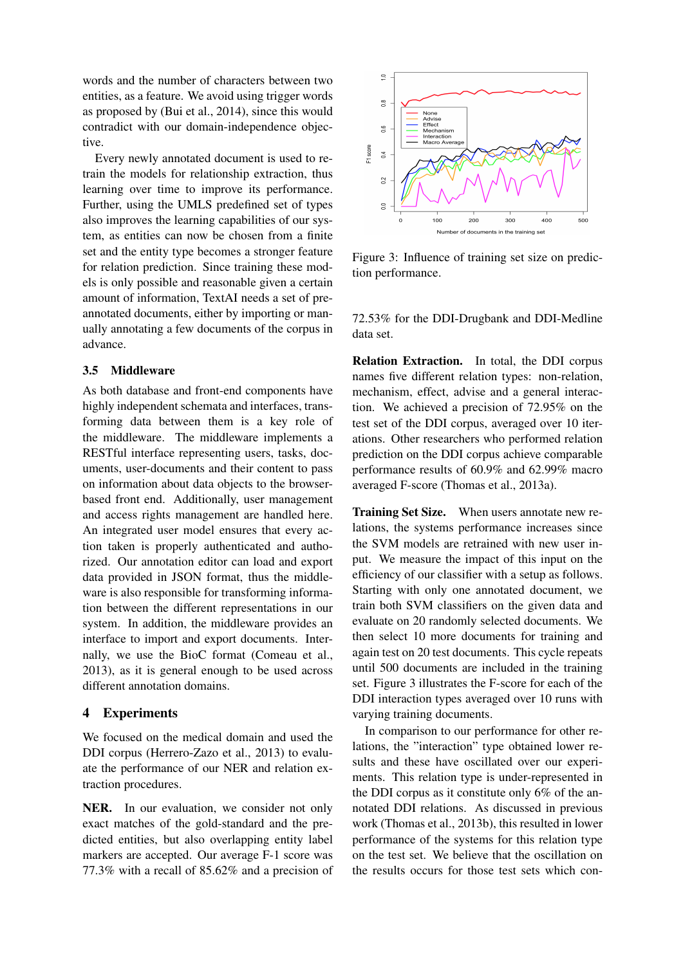words and the number of characters between two entities, as a feature. We avoid using trigger words as proposed by (Bui et al., 2014), since this would contradict with our domain-independence objective.

Every newly annotated document is used to retrain the models for relationship extraction, thus learning over time to improve its performance. Further, using the UMLS predefined set of types also improves the learning capabilities of our system, as entities can now be chosen from a finite set and the entity type becomes a stronger feature for relation prediction. Since training these models is only possible and reasonable given a certain amount of information, TextAI needs a set of preannotated documents, either by importing or manually annotating a few documents of the corpus in advance.

### 3.5 Middleware

As both database and front-end components have highly independent schemata and interfaces, transforming data between them is a key role of the middleware. The middleware implements a RESTful interface representing users, tasks, documents, user-documents and their content to pass on information about data objects to the browserbased front end. Additionally, user management and access rights management are handled here. An integrated user model ensures that every action taken is properly authenticated and authorized. Our annotation editor can load and export data provided in JSON format, thus the middleware is also responsible for transforming information between the different representations in our system. In addition, the middleware provides an interface to import and export documents. Internally, we use the BioC format (Comeau et al., 2013), as it is general enough to be used across different annotation domains.

#### 4 Experiments

We focused on the medical domain and used the DDI corpus (Herrero-Zazo et al., 2013) to evaluate the performance of our NER and relation extraction procedures.

NER. In our evaluation, we consider not only exact matches of the gold-standard and the predicted entities, but also overlapping entity label markers are accepted. Our average F-1 score was 77.3% with a recall of 85.62% and a precision of



Figure 3: Influence of training set size on prediction performance.

72.53% for the DDI-Drugbank and DDI-Medline data set.

Relation Extraction. In total, the DDI corpus names five different relation types: non-relation, mechanism, effect, advise and a general interaction. We achieved a precision of 72.95% on the test set of the DDI corpus, averaged over 10 iterations. Other researchers who performed relation prediction on the DDI corpus achieve comparable performance results of 60.9% and 62.99% macro averaged F-score (Thomas et al., 2013a).

Training Set Size. When users annotate new relations, the systems performance increases since the SVM models are retrained with new user input. We measure the impact of this input on the efficiency of our classifier with a setup as follows. Starting with only one annotated document, we train both SVM classifiers on the given data and evaluate on 20 randomly selected documents. We then select 10 more documents for training and again test on 20 test documents. This cycle repeats until 500 documents are included in the training set. Figure 3 illustrates the F-score for each of the DDI interaction types averaged over 10 runs with varying training documents.

In comparison to our performance for other relations, the "interaction" type obtained lower results and these have oscillated over our experiments. This relation type is under-represented in the DDI corpus as it constitute only 6% of the annotated DDI relations. As discussed in previous work (Thomas et al., 2013b), this resulted in lower performance of the systems for this relation type on the test set. We believe that the oscillation on the results occurs for those test sets which con